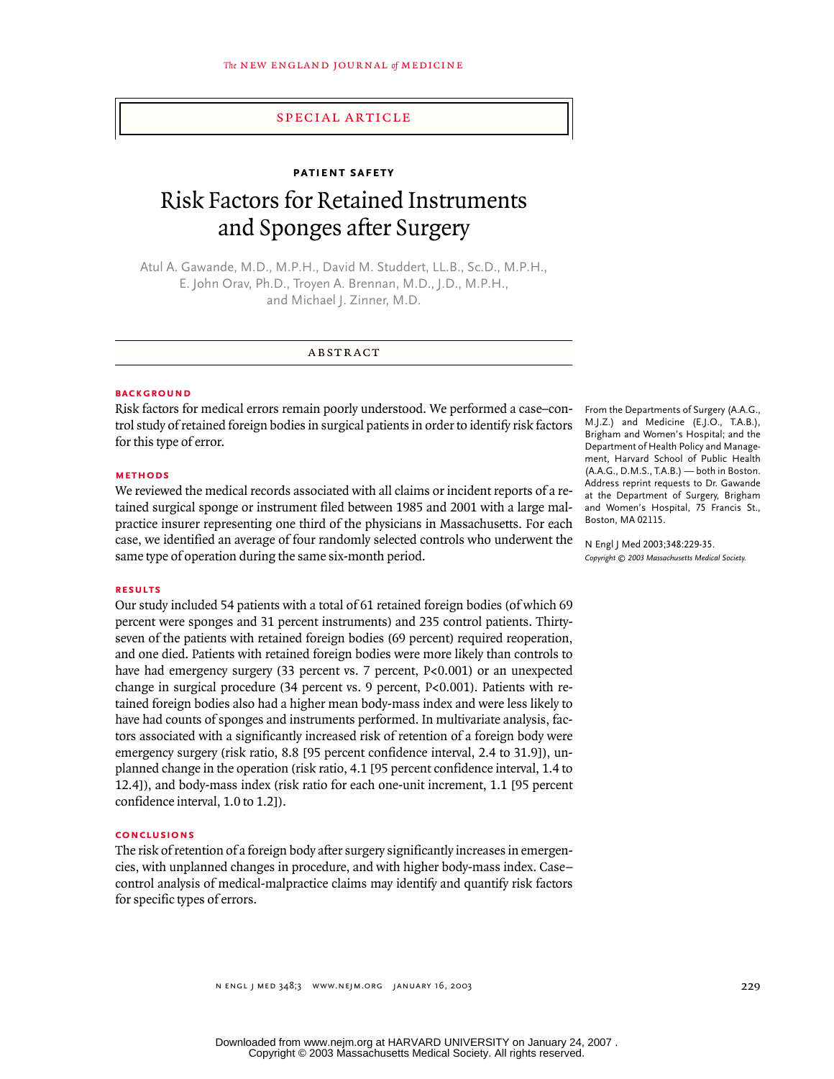# special article

## **patient safety**

# Risk Factors for Retained Instruments and Sponges after Surgery

Atul A. Gawande, M.D., M.P.H., David M. Studdert, LL.B., Sc.D., M.P.H., E. John Orav, Ph.D., Troyen A. Brennan, M.D., J.D., M.P.H., and Michael J. Zinner, M.D.

#### abstract

#### **BACKGROUND**

Risk factors for medical errors remain poorly understood. We performed a case–control study of retained foreign bodies in surgical patients in order to identify risk factors for this type of error.

# **methods**

We reviewed the medical records associated with all claims or incident reports of a retained surgical sponge or instrument filed between 1985 and 2001 with a large malpractice insurer representing one third of the physicians in Massachusetts. For each case, we identified an average of four randomly selected controls who underwent the same type of operation during the same six-month period.

# **results**

Our study included 54 patients with a total of 61 retained foreign bodies (of which 69 percent were sponges and 31 percent instruments) and 235 control patients. Thirtyseven of the patients with retained foreign bodies (69 percent) required reoperation, and one died. Patients with retained foreign bodies were more likely than controls to have had emergency surgery (33 percent vs. 7 percent, P<0.001) or an unexpected change in surgical procedure (34 percent vs. 9 percent, P<0.001). Patients with retained foreign bodies also had a higher mean body-mass index and were less likely to have had counts of sponges and instruments performed. In multivariate analysis, factors associated with a significantly increased risk of retention of a foreign body were emergency surgery (risk ratio, 8.8 [95 percent confidence interval, 2.4 to 31.9]), unplanned change in the operation (risk ratio, 4.1 [95 percent confidence interval, 1.4 to 12.4]), and body-mass index (risk ratio for each one-unit increment, 1.1 [95 percent confidence interval, 1.0 to 1.2]).

# **conclusions**

The risk of retention of a foreign body after surgery significantly increases in emergencies, with unplanned changes in procedure, and with higher body-mass index. Case– control analysis of medical-malpractice claims may identify and quantify risk factors for specific types of errors.

From the Departments of Surgery (A.A.G., M.J.Z.) and Medicine (E.J.O., T.A.B.), Brigham and Women's Hospital; and the Department of Health Policy and Management, Harvard School of Public Health (A.A.G., D.M.S., T.A.B.) — both in Boston. Address reprint requests to Dr. Gawande at the Department of Surgery, Brigham and Women's Hospital, 75 Francis St., Boston, MA 02115.

N Engl J Med 2003;348:229-35. *Copyright © 2003 Massachusetts Medical Society.*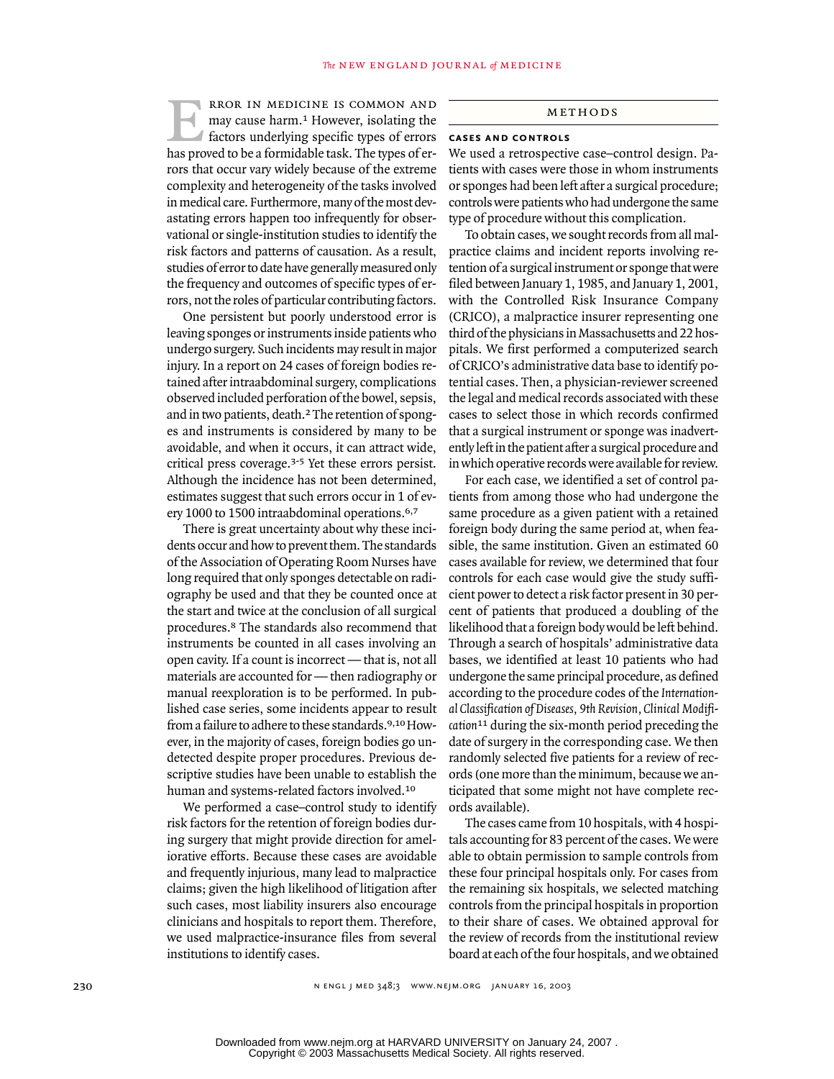rror in medicine is common and may cause harm.1 However, isolating the factors underlying specific types of errors has proved to be a formidable task. The types of errors that occur vary widely because of the extreme complexity and heterogeneity of the tasks involved in medical care. Furthermore, many of the most devastating errors happen too infrequently for observational or single-institution studies to identify the risk factors and patterns of causation. As a result, studies of error to date have generally measured only the frequency and outcomes of specific types of errors, not the roles of particular contributing factors. The NEW ENGLAND JOURNAL of MEDICINE<br>
RECR IN MEDICINE IS COMMON AND<br>
may cause harm.<sup>1</sup> However, isolating the<br>
factors underlying specific types of errors **CASES AND CONTROLS** 

One persistent but poorly understood error is leaving sponges or instruments inside patients who undergo surgery. Such incidents may result in major injury. In a report on 24 cases of foreign bodies retained after intraabdominal surgery, complications observed included perforation of the bowel, sepsis, and in two patients, death.2 The retention of sponges and instruments is considered by many to be avoidable, and when it occurs, it can attract wide, critical press coverage.3-5 Yet these errors persist. Although the incidence has not been determined, estimates suggest that such errors occur in 1 of every 1000 to 1500 intraabdominal operations.6,7

There is great uncertainty about why these incidents occur and how to prevent them. The standards of the Association of Operating Room Nurses have long required that only sponges detectable on radiography be used and that they be counted once at the start and twice at the conclusion of all surgical procedures.8 The standards also recommend that instruments be counted in all cases involving an open cavity. If a count is incorrect — that is, not all materials are accounted for — then radiography or manual reexploration is to be performed. In published case series, some incidents appear to result from a failure to adhere to these standards.9,10 However, in the majority of cases, foreign bodies go undetected despite proper procedures. Previous descriptive studies have been unable to establish the human and systems-related factors involved.<sup>10</sup>

We performed a case–control study to identify risk factors for the retention of foreign bodies during surgery that might provide direction for ameliorative efforts. Because these cases are avoidable and frequently injurious, many lead to malpractice claims; given the high likelihood of litigation after such cases, most liability insurers also encourage clinicians and hospitals to report them. Therefore, we used malpractice-insurance files from several institutions to identify cases.

# **cases and controls**

We used a retrospective case–control design. Patients with cases were those in whom instruments or sponges had been left after a surgical procedure; controls were patients who had undergone the same type of procedure without this complication.

To obtain cases, we sought records from all malpractice claims and incident reports involving retention of a surgical instrument or sponge that were filed between January 1, 1985, and January 1, 2001, with the Controlled Risk Insurance Company (CRICO), a malpractice insurer representing one third of the physicians in Massachusetts and 22 hospitals. We first performed a computerized search of CRICO's administrative data base to identify potential cases. Then, a physician-reviewer screened the legal and medical records associated with these cases to select those in which records confirmed that a surgical instrument or sponge was inadvertently left in the patient after a surgical procedure and in which operative records were available for review.

For each case, we identified a set of control patients from among those who had undergone the same procedure as a given patient with a retained foreign body during the same period at, when feasible, the same institution. Given an estimated 60 cases available for review, we determined that four controls for each case would give the study sufficient power to detect a risk factor present in 30 percent of patients that produced a doubling of the likelihood that a foreign body would be left behind. Through a search of hospitals' administrative data bases, we identified at least 10 patients who had undergone the same principal procedure, as defined according to the procedure codes of the *International Classification of Diseases, 9th Revision, Clinical Modification*11 during the six-month period preceding the date of surgery in the corresponding case. We then randomly selected five patients for a review of records (one more than the minimum, because we anticipated that some might not have complete records available).

The cases came from 10 hospitals, with 4 hospitals accounting for 83 percent of the cases. We were able to obtain permission to sample controls from these four principal hospitals only. For cases from the remaining six hospitals, we selected matching controls from the principal hospitals in proportion to their share of cases. We obtained approval for the review of records from the institutional review board at each of the four hospitals, and we obtained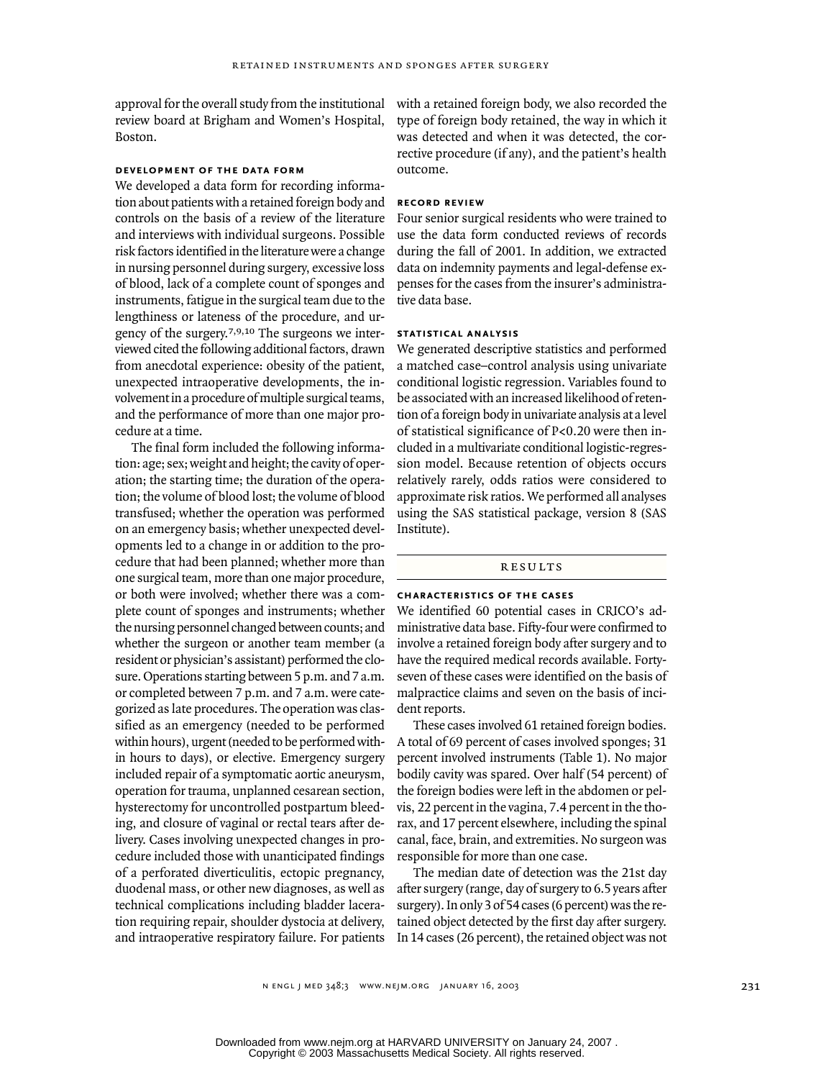approval for the overall study from the institutional review board at Brigham and Women's Hospital, Boston.

### **development of the data form**

We developed a data form for recording information about patients with a retained foreign body and controls on the basis of a review of the literature and interviews with individual surgeons. Possible risk factors identified in the literature were a change in nursing personnel during surgery, excessive loss of blood, lack of a complete count of sponges and instruments, fatigue in the surgical team due to the lengthiness or lateness of the procedure, and urgency of the surgery.7,9,10 The surgeons we interviewed cited the following additional factors, drawn from anecdotal experience: obesity of the patient, unexpected intraoperative developments, the involvement in a procedure of multiple surgical teams, and the performance of more than one major procedure at a time.

The final form included the following information: age; sex; weight and height; the cavity of operation; the starting time; the duration of the operation; the volume of blood lost; the volume of blood transfused; whether the operation was performed on an emergency basis; whether unexpected developments led to a change in or addition to the procedure that had been planned; whether more than one surgical team, more than one major procedure, or both were involved; whether there was a complete count of sponges and instruments; whether the nursing personnel changed between counts; and whether the surgeon or another team member (a resident or physician's assistant) performed the closure. Operations starting between 5 p.m. and 7 a.m. or completed between 7 p.m. and 7 a.m. were categorized as late procedures. The operation was classified as an emergency (needed to be performed within hours), urgent (needed to be performed within hours to days), or elective. Emergency surgery included repair of a symptomatic aortic aneurysm, operation for trauma, unplanned cesarean section, hysterectomy for uncontrolled postpartum bleeding, and closure of vaginal or rectal tears after delivery. Cases involving unexpected changes in procedure included those with unanticipated findings of a perforated diverticulitis, ectopic pregnancy, duodenal mass, or other new diagnoses, as well as technical complications including bladder laceration requiring repair, shoulder dystocia at delivery, and intraoperative respiratory failure. For patients with a retained foreign body, we also recorded the type of foreign body retained, the way in which it was detected and when it was detected, the corrective procedure (if any), and the patient's health outcome.

# **record review**

Four senior surgical residents who were trained to use the data form conducted reviews of records during the fall of 2001. In addition, we extracted data on indemnity payments and legal-defense expenses for the cases from the insurer's administrative data base.

#### **statistical analysis**

We generated descriptive statistics and performed a matched case–control analysis using univariate conditional logistic regression. Variables found to be associated with an increased likelihood of retention of a foreign body in univariate analysis at a level of statistical significance of P<0.20 were then included in a multivariate conditional logistic-regression model. Because retention of objects occurs relatively rarely, odds ratios were considered to approximate risk ratios. We performed all analyses using the SAS statistical package, version 8 (SAS Institute).

#### **RESULTS**

#### **characteristics of the cases**

We identified 60 potential cases in CRICO's administrative data base. Fifty-four were confirmed to involve a retained foreign body after surgery and to have the required medical records available. Fortyseven of these cases were identified on the basis of malpractice claims and seven on the basis of incident reports.

These cases involved 61 retained foreign bodies. A total of 69 percent of cases involved sponges; 31 percent involved instruments (Table 1). No major bodily cavity was spared. Over half (54 percent) of the foreign bodies were left in the abdomen or pelvis, 22 percent in the vagina, 7.4 percent in the thorax, and 17 percent elsewhere, including the spinal canal, face, brain, and extremities. No surgeon was responsible for more than one case.

The median date of detection was the 21st day after surgery (range, day of surgery to 6.5 years after surgery). In only 3 of 54 cases (6 percent) was the retained object detected by the first day after surgery. In 14 cases (26 percent), the retained object was not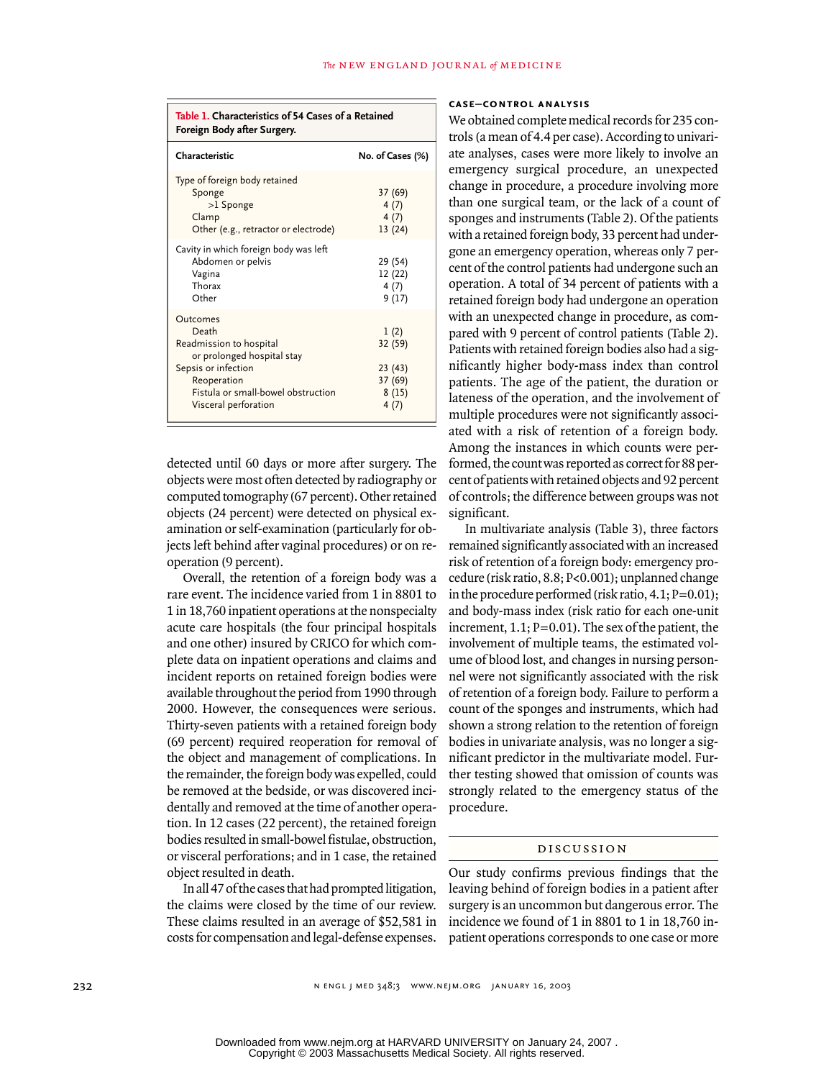| Table 1. Characteristics of 54 Cases of a Retained<br>Foreign Body after Surgery.                                                                                              |                                                       |  |  |
|--------------------------------------------------------------------------------------------------------------------------------------------------------------------------------|-------------------------------------------------------|--|--|
| Characteristic                                                                                                                                                                 | No. of Cases (%)                                      |  |  |
| Type of foreign body retained<br>Sponge<br>>1 Sponge<br>Clamp<br>Other (e.g., retractor or electrode)                                                                          | 37 (69)<br>4(7)<br>4(7)<br>13(24)                     |  |  |
| Cavity in which foreign body was left<br>Abdomen or pelvis<br>Vagina<br>Thorax<br>Other                                                                                        | 29 (54)<br>12 (22)<br>4(7)<br>9(17)                   |  |  |
| Outcomes<br>Death<br>Readmission to hospital<br>or prolonged hospital stay<br>Sepsis or infection<br>Reoperation<br>Fistula or small-bowel obstruction<br>Visceral perforation | 1(2)<br>32 (59)<br>23(43)<br>37 (69)<br>8(15)<br>4(7) |  |  |

detected until 60 days or more after surgery. The objects were most often detected by radiography or computed tomography (67 percent). Other retained objects (24 percent) were detected on physical examination or self-examination (particularly for objects left behind after vaginal procedures) or on reoperation (9 percent).

Overall, the retention of a foreign body was a rare event. The incidence varied from 1 in 8801 to 1 in 18,760 inpatient operations at the nonspecialty acute care hospitals (the four principal hospitals and one other) insured by CRICO for which complete data on inpatient operations and claims and incident reports on retained foreign bodies were available throughout the period from 1990 through 2000. However, the consequences were serious. Thirty-seven patients with a retained foreign body (69 percent) required reoperation for removal of the object and management of complications. In the remainder, the foreign body was expelled, could be removed at the bedside, or was discovered incidentally and removed at the time of another operation. In 12 cases (22 percent), the retained foreign bodies resulted in small-bowel fistulae, obstruction, or visceral perforations; and in 1 case, the retained object resulted in death.

In all 47 of the cases that had prompted litigation, the claims were closed by the time of our review. These claims resulted in an average of \$52,581 in costs for compensation and legal-defense expenses.

# **case–control analysis**

We obtained complete medical records for 235 controls (a mean of 4.4 per case). According to univariate analyses, cases were more likely to involve an emergency surgical procedure, an unexpected change in procedure, a procedure involving more than one surgical team, or the lack of a count of sponges and instruments (Table 2). Of the patients with a retained foreign body, 33 percent had undergone an emergency operation, whereas only 7 percent of the control patients had undergone such an operation. A total of 34 percent of patients with a retained foreign body had undergone an operation with an unexpected change in procedure, as compared with 9 percent of control patients (Table 2). Patients with retained foreign bodies also had a significantly higher body-mass index than control patients. The age of the patient, the duration or lateness of the operation, and the involvement of multiple procedures were not significantly associated with a risk of retention of a foreign body. Among the instances in which counts were performed, the count was reported as correct for 88 percent of patients with retained objects and 92 percent of controls; the difference between groups was not significant.

In multivariate analysis (Table 3), three factors remained significantly associated with an increased risk of retention of a foreign body: emergency procedure (risk ratio, 8.8; P<0.001); unplanned change in the procedure performed (risk ratio,  $4.1; P=0.01$ ); and body-mass index (risk ratio for each one-unit increment,  $1.1$ ;  $P=0.01$ ). The sex of the patient, the involvement of multiple teams, the estimated volume of blood lost, and changes in nursing personnel were not significantly associated with the risk of retention of a foreign body. Failure to perform a count of the sponges and instruments, which had shown a strong relation to the retention of foreign bodies in univariate analysis, was no longer a significant predictor in the multivariate model. Further testing showed that omission of counts was strongly related to the emergency status of the procedure.

#### discussion

Our study confirms previous findings that the leaving behind of foreign bodies in a patient after surgery is an uncommon but dangerous error. The incidence we found of 1 in 8801 to 1 in 18,760 inpatient operations corresponds to one case or more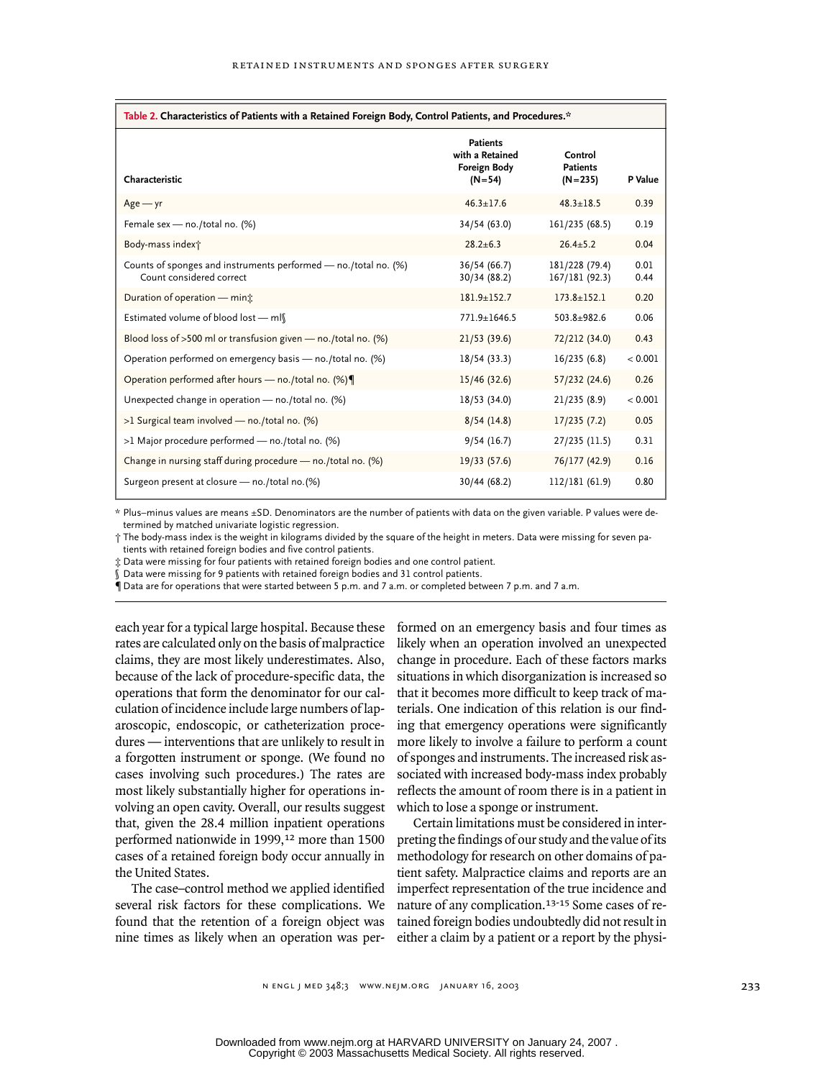| Table 2. Characteristics of Patients with a Retained Foreign Body, Control Patients, and Procedures.* |                                                                         |                                         |              |  |
|-------------------------------------------------------------------------------------------------------|-------------------------------------------------------------------------|-----------------------------------------|--------------|--|
| Characteristic                                                                                        | <b>Patients</b><br>with a Retained<br><b>Foreign Body</b><br>$(N = 54)$ | Control<br><b>Patients</b><br>$(N=235)$ | P Value      |  |
| $Age - yr$                                                                                            | $46.3 \pm 17.6$                                                         | $48.3 + 18.5$                           | 0.39         |  |
| Female sex - no./total no. (%)                                                                        | 34/54 (63.0)                                                            | 161/235 (68.5)                          | 0.19         |  |
| Body-mass index†                                                                                      | $28.2 \pm 6.3$                                                          | $26.4 + 5.2$                            | 0.04         |  |
| Counts of sponges and instruments performed - no./total no. (%)<br>Count considered correct           | 36/54 (66.7)<br>30/34 (88.2)                                            | 181/228 (79.4)<br>167/181 (92.3)        | 0.01<br>0.44 |  |
| Duration of operation - mint                                                                          | $181.9 + 152.7$                                                         | $173.8 + 152.1$                         | 0.20         |  |
| Estimated volume of blood lost - ml                                                                   | 771.9±1646.5                                                            | $503.8 + 982.6$                         | 0.06         |  |
| Blood loss of >500 ml or transfusion given $-$ no./total no. (%)                                      | 21/53(39.6)                                                             | 72/212 (34.0)                           | 0.43         |  |
| Operation performed on emergency basis - no./total no. (%)                                            | 18/54 (33.3)                                                            | 16/235(6.8)                             | < 0.001      |  |
| Operation performed after hours - no./total no. (%)                                                   | 15/46 (32.6)                                                            | 57/232 (24.6)                           | 0.26         |  |
| Unexpected change in operation - no./total no. (%)                                                    | 18/53 (34.0)                                                            | 21/235(8.9)                             | < 0.001      |  |
| >1 Surgical team involved - no./total no. (%)                                                         | 8/54(14.8)                                                              | 17/235(7.2)                             | 0.05         |  |
| >1 Major procedure performed - no./total no. (%)                                                      | 9/54(16.7)                                                              | 27/235 (11.5)                           | 0.31         |  |
| Change in nursing staff during procedure - no./total no. (%)                                          | 19/33 (57.6)                                                            | 76/177 (42.9)                           | 0.16         |  |
| Surgeon present at closure - no./total no.(%)                                                         | 30/44 (68.2)                                                            | 112/181 (61.9)                          | 0.80         |  |

\* Plus–minus values are means ±SD. Denominators are the number of patients with data on the given variable. P values were determined by matched univariate logistic regression.

† The body-mass index is the weight in kilograms divided by the square of the height in meters. Data were missing for seven patients with retained foreign bodies and five control patients.

‡ Data were missing for four patients with retained foreign bodies and one control patient.

Data were missing for 9 patients with retained foreign bodies and 31 control patients.

¶ Data are for operations that were started between 5 p.m. and 7 a.m. or completed between 7 p.m. and 7 a.m.

each year for a typical large hospital. Because these rates are calculated only on the basis of malpractice claims, they are most likely underestimates. Also, because of the lack of procedure-specific data, the operations that form the denominator for our calculation of incidence include large numbers of laparoscopic, endoscopic, or catheterization procedures — interventions that are unlikely to result in a forgotten instrument or sponge. (We found no cases involving such procedures.) The rates are most likely substantially higher for operations involving an open cavity. Overall, our results suggest that, given the 28.4 million inpatient operations performed nationwide in 1999,<sup>12</sup> more than 1500 cases of a retained foreign body occur annually in the United States.

The case–control method we applied identified several risk factors for these complications. We found that the retention of a foreign object was nine times as likely when an operation was performed on an emergency basis and four times as likely when an operation involved an unexpected change in procedure. Each of these factors marks situations in which disorganization is increased so that it becomes more difficult to keep track of materials. One indication of this relation is our finding that emergency operations were significantly more likely to involve a failure to perform a count of sponges and instruments. The increased risk associated with increased body-mass index probably reflects the amount of room there is in a patient in which to lose a sponge or instrument.

Certain limitations must be considered in interpreting the findings of our study and the value of its methodology for research on other domains of patient safety. Malpractice claims and reports are an imperfect representation of the true incidence and nature of any complication.13-15 Some cases of retained foreign bodies undoubtedly did not result in either a claim by a patient or a report by the physi-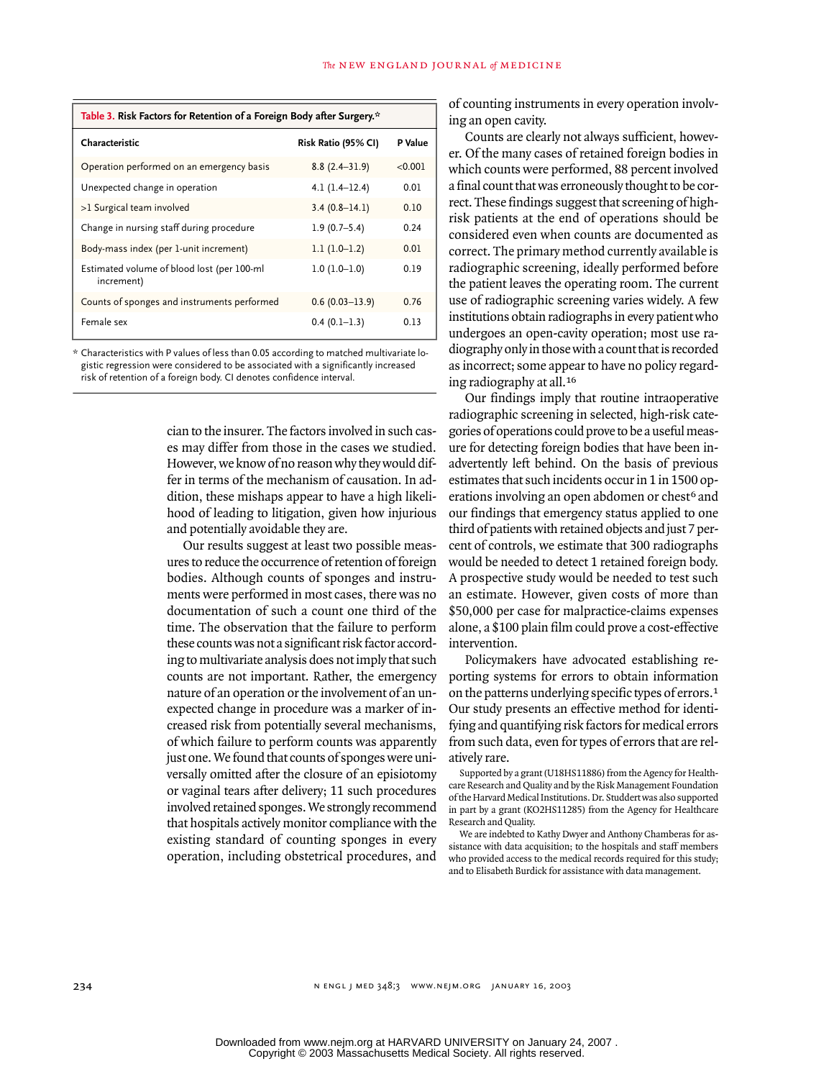| Table 3. Risk Factors for Retention of a Foreign Body after Surgery.* |                     |         |  |  |
|-----------------------------------------------------------------------|---------------------|---------|--|--|
| Characteristic                                                        | Risk Ratio (95% CI) | P Value |  |  |
| Operation performed on an emergency basis                             | $8.8(2.4 - 31.9)$   | < 0.001 |  |  |
| Unexpected change in operation                                        | $4.1(1.4-12.4)$     | 0.01    |  |  |
| >1 Surgical team involved                                             | $3.4(0.8-14.1)$     | 0.10    |  |  |
| Change in nursing staff during procedure                              | $1.9(0.7-5.4)$      | 0.24    |  |  |
| Body-mass index (per 1-unit increment)                                | $1.1(1.0-1.2)$      | 0.01    |  |  |
| Estimated volume of blood lost (per 100-ml<br>increment)              | $1.0(1.0-1.0)$      | 0.19    |  |  |
| Counts of sponges and instruments performed                           | $0.6(0.03 - 13.9)$  | 0.76    |  |  |
| Female sex                                                            | $0.4(0.1-1.3)$      | 0.13    |  |  |

\* Characteristics with P values of less than 0.05 according to matched multivariate logistic regression were considered to be associated with a significantly increased risk of retention of a foreign body. CI denotes confidence interval.

> cian to the insurer. The factors involved in such cases may differ from those in the cases we studied. However, we know of no reason why they would differ in terms of the mechanism of causation. In addition, these mishaps appear to have a high likelihood of leading to litigation, given how injurious and potentially avoidable they are.

> Our results suggest at least two possible measures to reduce the occurrence of retention of foreign bodies. Although counts of sponges and instruments were performed in most cases, there was no documentation of such a count one third of the time. The observation that the failure to perform these counts was not a significant risk factor according to multivariate analysis does not imply that such counts are not important. Rather, the emergency nature of an operation or the involvement of an unexpected change in procedure was a marker of increased risk from potentially several mechanisms, of which failure to perform counts was apparently just one. We found that counts of sponges were universally omitted after the closure of an episiotomy or vaginal tears after delivery; 11 such procedures involved retained sponges. We strongly recommend that hospitals actively monitor compliance with the existing standard of counting sponges in every operation, including obstetrical procedures, and

of counting instruments in every operation involving an open cavity.

Counts are clearly not always sufficient, however. Of the many cases of retained foreign bodies in which counts were performed, 88 percent involved a final count that was erroneously thought to be correct. These findings suggest that screening of highrisk patients at the end of operations should be considered even when counts are documented as correct. The primary method currently available is radiographic screening, ideally performed before the patient leaves the operating room. The current use of radiographic screening varies widely. A few institutions obtain radiographs in every patient who undergoes an open-cavity operation; most use radiography only in those with a count that is recorded as incorrect; some appear to have no policy regarding radiography at all.<sup>16</sup>

Our findings imply that routine intraoperative radiographic screening in selected, high-risk categories of operations could prove to be a useful measure for detecting foreign bodies that have been inadvertently left behind. On the basis of previous estimates that such incidents occur in 1 in 1500 operations involving an open abdomen or chest<sup>6</sup> and our findings that emergency status applied to one third of patients with retained objects and just 7 percent of controls, we estimate that 300 radiographs would be needed to detect 1 retained foreign body. A prospective study would be needed to test such an estimate. However, given costs of more than \$50,000 per case for malpractice-claims expenses alone, a \$100 plain film could prove a cost-effective intervention.

Policymakers have advocated establishing reporting systems for errors to obtain information on the patterns underlying specific types of errors.<sup>1</sup> Our study presents an effective method for identifying and quantifying risk factors for medical errors from such data, even for types of errors that are relatively rare.

Supported by a grant (U18HS11886) from the Agency for Healthcare Research and Quality and by the Risk Management Foundation of the Harvard Medical Institutions. Dr. Studdert was also supported in part by a grant (KO2HS11285) from the Agency for Healthcare Research and Quality.

We are indebted to Kathy Dwyer and Anthony Chamberas for assistance with data acquisition; to the hospitals and staff members who provided access to the medical records required for this study; and to Elisabeth Burdick for assistance with data management.